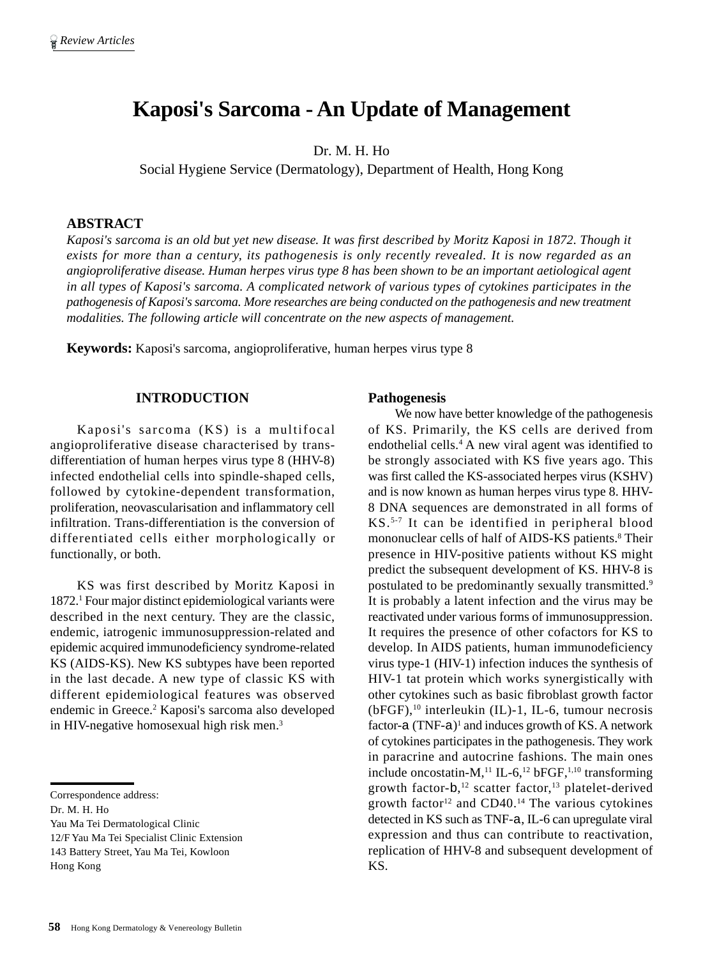# **Kaposi's Sarcoma - An Update of Management**

Dr. M. H. Ho

Social Hygiene Service (Dermatology), Department of Health, Hong Kong

#### **ABSTRACT**

*Kaposi's sarcoma is an old but yet new disease. It was first described by Moritz Kaposi in 1872. Though it exists for more than a century, its pathogenesis is only recently revealed. It is now regarded as an angioproliferative disease. Human herpes virus type 8 has been shown to be an important aetiological agent in all types of Kaposi's sarcoma. A complicated network of various types of cytokines participates in the pathogenesis of Kaposi's sarcoma. More researches are being conducted on the pathogenesis and new treatment modalities. The following article will concentrate on the new aspects of management.*

**Keywords:** Kaposi's sarcoma, angioproliferative, human herpes virus type 8

#### **INTRODUCTION**

Kaposi's sarcoma (KS) is a multifocal angioproliferative disease characterised by transdifferentiation of human herpes virus type 8 (HHV-8) infected endothelial cells into spindle-shaped cells, followed by cytokine-dependent transformation, proliferation, neovascularisation and inflammatory cell infiltration. Trans-differentiation is the conversion of differentiated cells either morphologically or functionally, or both.

KS was first described by Moritz Kaposi in 1872.1 Four major distinct epidemiological variants were described in the next century. They are the classic, endemic, iatrogenic immunosuppression-related and epidemic acquired immunodeficiency syndrome-related KS (AIDS-KS). New KS subtypes have been reported in the last decade. A new type of classic KS with different epidemiological features was observed endemic in Greece.<sup>2</sup> Kaposi's sarcoma also developed in HIV-negative homosexual high risk men.<sup>3</sup>

Hong Kong

#### **Pathogenesis**

We now have better knowledge of the pathogenesis of KS. Primarily, the KS cells are derived from endothelial cells.<sup>4</sup> A new viral agent was identified to be strongly associated with KS five years ago. This was first called the KS-associated herpes virus (KSHV) and is now known as human herpes virus type 8. HHV-8 DNA sequences are demonstrated in all forms of KS.5-7 It can be identified in peripheral blood mononuclear cells of half of AIDS-KS patients.<sup>8</sup> Their presence in HIV-positive patients without KS might predict the subsequent development of KS. HHV-8 is postulated to be predominantly sexually transmitted.9 It is probably a latent infection and the virus may be reactivated under various forms of immunosuppression. It requires the presence of other cofactors for KS to develop. In AIDS patients, human immunodeficiency virus type-1 (HIV-1) infection induces the synthesis of HIV-1 tat protein which works synergistically with other cytokines such as basic fibroblast growth factor  $(bFGF)$ ,<sup>10</sup> interleukin (IL)-1, IL-6, tumour necrosis factor-a  $(TNF-a)^1$  and induces growth of KS. A network of cytokines participates in the pathogenesis. They work in paracrine and autocrine fashions. The main ones include oncostatin-M,<sup>11</sup> IL-6,<sup>12</sup> bFGF,<sup>1,10</sup> transforming growth factor-b,<sup>12</sup> scatter factor,<sup>13</sup> platelet-derived growth factor<sup>12</sup> and CD40.<sup>14</sup> The various cytokines detected in KS such as TNF-a, IL-6 can upregulate viral expression and thus can contribute to reactivation, replication of HHV-8 and subsequent development of KS.

Correspondence address:

Dr. M. H. Ho

Yau Ma Tei Dermatological Clinic

<sup>12/</sup>F Yau Ma Tei Specialist Clinic Extension

<sup>143</sup> Battery Street, Yau Ma Tei, Kowloon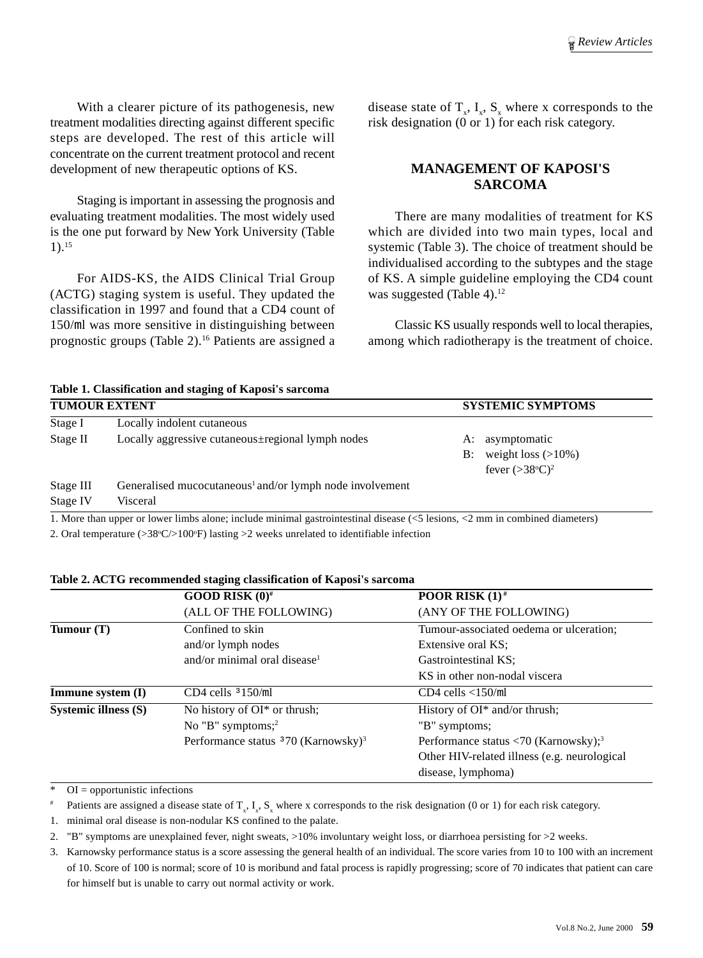With a clearer picture of its pathogenesis, new treatment modalities directing against different specific steps are developed. The rest of this article will concentrate on the current treatment protocol and recent development of new therapeutic options of KS.

Staging is important in assessing the prognosis and evaluating treatment modalities. The most widely used is the one put forward by New York University (Table 1).15

For AIDS-KS, the AIDS Clinical Trial Group (ACTG) staging system is useful. They updated the classification in 1997 and found that a CD4 count of 150/ml was more sensitive in distinguishing between prognostic groups (Table 2).16 Patients are assigned a

disease state of  $T_x$ ,  $I_x$ ,  $S_x$  where x corresponds to the risk designation  $(0 \text{ or } 1)$  for each risk category.

# **MANAGEMENT OF KAPOSI'S SARCOMA**

There are many modalities of treatment for KS which are divided into two main types, local and systemic (Table 3). The choice of treatment should be individualised according to the subtypes and the stage of KS. A simple guideline employing the CD4 count was suggested (Table 4). $12$ 

Classic KS usually responds well to local therapies, among which radiotherapy is the treatment of choice.

**Table 1. Classification and staging of Kaposi's sarcoma**

| <b>TUMOUR EXTENT</b> |                                                                                                                             | <b>SYSTEMIC SYMPTOMS</b> |                          |
|----------------------|-----------------------------------------------------------------------------------------------------------------------------|--------------------------|--------------------------|
| Stage I              | Locally indolent cutaneous                                                                                                  |                          |                          |
| Stage II             | Locally aggressive cutaneous regional lymph nodes                                                                           | A:                       | asymptomatic             |
|                      |                                                                                                                             | B:                       | weight loss $(>10\%)$    |
|                      |                                                                                                                             |                          | fever $(>38^{\circ}C)^2$ |
| Stage III            | Generalised mucocutaneous <sup>1</sup> and/or lymph node involvement                                                        |                          |                          |
| Stage IV             | Visceral                                                                                                                    |                          |                          |
|                      | 1. More than upper or lower limbs alone; include minimal gastrointestinal disease (<5 lesions, <2 mm in combined diameters) |                          |                          |

2. Oral temperature  $(>\frac{38}{\text{°C}} > 100$ <sup>o</sup>F) lasting  $>$ 2 weeks unrelated to identifiable infection

**Table 2. ACTG recommended staging classification of Kaposi's sarcoma**

|                      | GOOD RISK $(0)^{\#}$                              | <b>POOR RISK</b> $(1)^*$                                          |
|----------------------|---------------------------------------------------|-------------------------------------------------------------------|
|                      | (ALL OF THE FOLLOWING)                            | (ANY OF THE FOLLOWING)                                            |
| Tumour $(T)$         | Confined to skin                                  | Tumour-associated oedema or ulceration;                           |
|                      | and/or lymph nodes                                | Extensive oral KS;                                                |
|                      | and/or minimal oral disease <sup>1</sup>          | Gastrointestinal KS;                                              |
|                      |                                                   | KS in other non-nodal viscera                                     |
| Immune system (I)    | CD4 cells $3150$ /ml                              | $CD4$ cells $\langle 150/ml$                                      |
| Systemic illness (S) | No history of OI <sup>*</sup> or thrush;          | History of $OI^*$ and/or thrush;                                  |
|                      | No "B" symptoms; $^{2}$                           | "B" symptoms;                                                     |
|                      | Performance status $370$ (Karnowsky) <sup>3</sup> | Performance status $\langle 70 \rangle$ (Karnowsky); <sup>3</sup> |
|                      |                                                   | Other HIV-related illness (e.g. neurological                      |
|                      |                                                   | disease, lymphoma)                                                |

 $\overline{\text{ }^{*}$  OI = opportunistic infections

<sup>#</sup> Patients are assigned a disease state of  $T_x$ ,  $I_x$ ,  $S_x$  where x corresponds to the risk designation (0 or 1) for each risk category.

1. minimal oral disease is non-nodular KS confined to the palate.

2. "B" symptoms are unexplained fever, night sweats,  $>10\%$  involuntary weight loss, or diarrhoea persisting for  $>2$  weeks.

3. Karnowsky performance status is a score assessing the general health of an individual. The score varies from 10 to 100 with an increment of 10. Score of 100 is normal; score of 10 is moribund and fatal process is rapidly progressing; score of 70 indicates that patient can care for himself but is unable to carry out normal activity or work.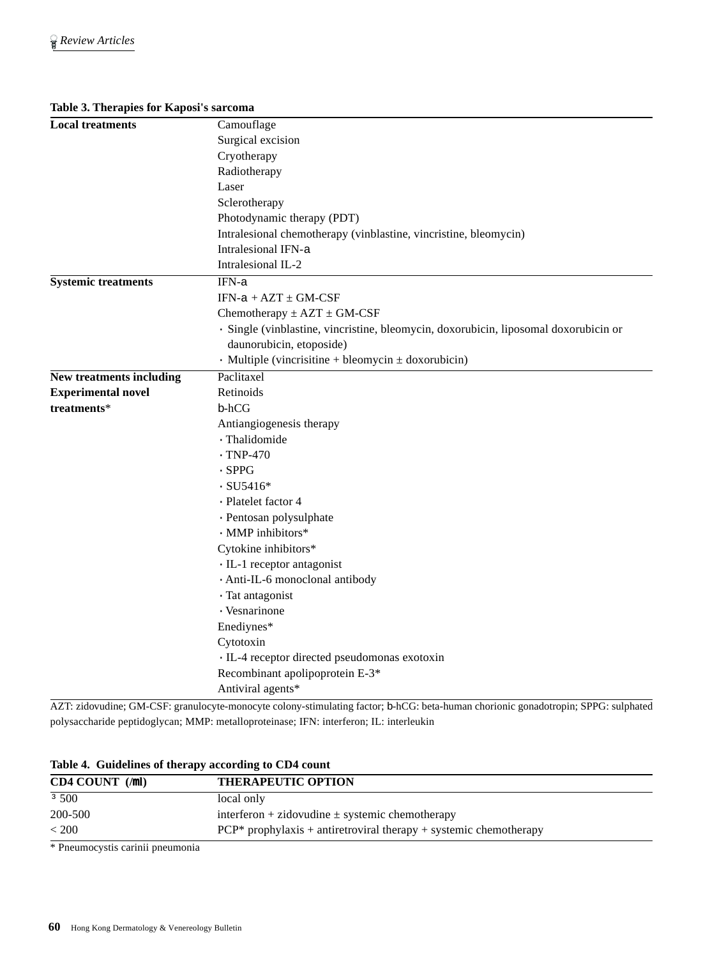#### **Table 3. Therapies for Kaposi's sarcoma**

| <b>Local treatments</b>         | Camouflage                                                                           |  |  |  |  |
|---------------------------------|--------------------------------------------------------------------------------------|--|--|--|--|
|                                 | Surgical excision                                                                    |  |  |  |  |
|                                 | Cryotherapy                                                                          |  |  |  |  |
|                                 | Radiotherapy                                                                         |  |  |  |  |
|                                 | Laser                                                                                |  |  |  |  |
|                                 | Sclerotherapy                                                                        |  |  |  |  |
|                                 | Photodynamic therapy (PDT)                                                           |  |  |  |  |
|                                 | Intralesional chemotherapy (vinblastine, vincristine, bleomycin)                     |  |  |  |  |
|                                 | Intralesional IFN-a                                                                  |  |  |  |  |
|                                 | Intralesional IL-2                                                                   |  |  |  |  |
| <b>Systemic treatments</b>      | IFN-a                                                                                |  |  |  |  |
|                                 | $IFN-a + AZT \pm GM-CSF$                                                             |  |  |  |  |
|                                 | Chemotherapy $\pm$ AZT $\pm$ GM-CSF                                                  |  |  |  |  |
|                                 | · Single (vinblastine, vincristine, bleomycin, doxorubicin, liposomal doxorubicin or |  |  |  |  |
|                                 | daunorubicin, etoposide)                                                             |  |  |  |  |
|                                 | $\cdot$ Multiple (vincrisitine + bleomycin $\pm$ doxorubicin)                        |  |  |  |  |
| <b>New treatments including</b> | Paclitaxel                                                                           |  |  |  |  |
| <b>Experimental novel</b>       | Retinoids                                                                            |  |  |  |  |
| treatments*                     | b-hCG                                                                                |  |  |  |  |
|                                 | Antiangiogenesis therapy                                                             |  |  |  |  |
|                                 | · Thalidomide                                                                        |  |  |  |  |
|                                 | $\cdot$ TNP-470                                                                      |  |  |  |  |
|                                 | $\cdot$ SPPG                                                                         |  |  |  |  |
|                                 | $\cdot$ SU5416*                                                                      |  |  |  |  |
|                                 | · Platelet factor 4                                                                  |  |  |  |  |
|                                 | · Pentosan polysulphate                                                              |  |  |  |  |
|                                 | · MMP inhibitors*                                                                    |  |  |  |  |
|                                 | Cytokine inhibitors*                                                                 |  |  |  |  |
|                                 | · IL-1 receptor antagonist                                                           |  |  |  |  |
|                                 | · Anti-IL-6 monoclonal antibody                                                      |  |  |  |  |
|                                 | · Tat antagonist                                                                     |  |  |  |  |
|                                 | · Vesnarinone                                                                        |  |  |  |  |
|                                 | Enediynes*                                                                           |  |  |  |  |
|                                 | Cytotoxin                                                                            |  |  |  |  |
|                                 | · IL-4 receptor directed pseudomonas exotoxin                                        |  |  |  |  |
|                                 | Recombinant apolipoprotein E-3*                                                      |  |  |  |  |
|                                 | Antiviral agents*                                                                    |  |  |  |  |
|                                 |                                                                                      |  |  |  |  |

AZT: zidovudine; GM-CSF: granulocyte-monocyte colony-stimulating factor; b-hCG: beta-human chorionic gonadotropin; SPPG: sulphated polysaccharide peptidoglycan; MMP: metalloproteinase; IFN: interferon; IL: interleukin

**Table 4. Guidelines of therapy according to CD4 count**

| $CD4$ COUNT $(\text{ml})$ | <b>THERAPEUTIC OPTION</b>                                           |
|---------------------------|---------------------------------------------------------------------|
| 3500                      | local only                                                          |
| 200-500                   | interferon + zidovudine $\pm$ systemic chemotherapy                 |
| < 200                     | $PCP*$ prophylaxis + antiretroviral therapy + systemic chemotherapy |

\* Pneumocystis carinii pneumonia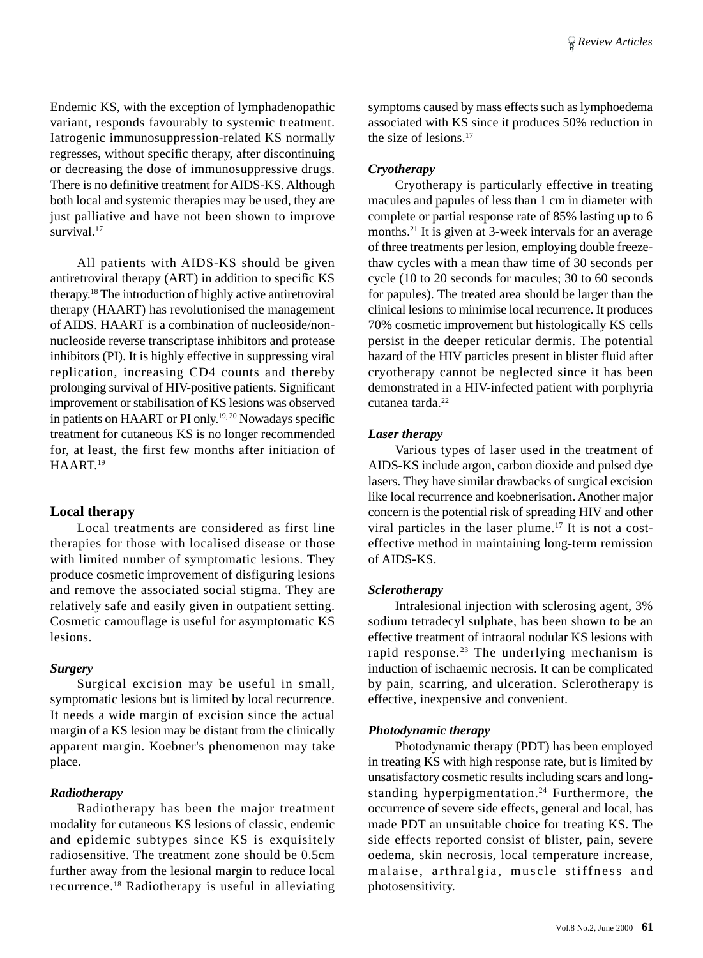Endemic KS, with the exception of lymphadenopathic variant, responds favourably to systemic treatment. Iatrogenic immunosuppression-related KS normally regresses, without specific therapy, after discontinuing or decreasing the dose of immunosuppressive drugs. There is no definitive treatment for AIDS-KS. Although both local and systemic therapies may be used, they are just palliative and have not been shown to improve survival<sup>17</sup>

All patients with AIDS-KS should be given antiretroviral therapy (ART) in addition to specific KS therapy.18 The introduction of highly active antiretroviral therapy (HAART) has revolutionised the management of AIDS. HAART is a combination of nucleoside/nonnucleoside reverse transcriptase inhibitors and protease inhibitors (PI). It is highly effective in suppressing viral replication, increasing CD4 counts and thereby prolonging survival of HIV-positive patients. Significant improvement or stabilisation of KS lesions was observed in patients on HAART or PI only.19, 20 Nowadays specific treatment for cutaneous KS is no longer recommended for, at least, the first few months after initiation of HAART.19

# **Local therapy**

Local treatments are considered as first line therapies for those with localised disease or those with limited number of symptomatic lesions. They produce cosmetic improvement of disfiguring lesions and remove the associated social stigma. They are relatively safe and easily given in outpatient setting. Cosmetic camouflage is useful for asymptomatic KS lesions.

#### *Surgery*

Surgical excision may be useful in small, symptomatic lesions but is limited by local recurrence. It needs a wide margin of excision since the actual margin of a KS lesion may be distant from the clinically apparent margin. Koebner's phenomenon may take place.

# *Radiotherapy*

Radiotherapy has been the major treatment modality for cutaneous KS lesions of classic, endemic and epidemic subtypes since KS is exquisitely radiosensitive. The treatment zone should be 0.5cm further away from the lesional margin to reduce local recurrence.18 Radiotherapy is useful in alleviating

symptoms caused by mass effects such as lymphoedema associated with KS since it produces 50% reduction in the size of lesions.17

## *Cryotherapy*

Cryotherapy is particularly effective in treating macules and papules of less than 1 cm in diameter with complete or partial response rate of 85% lasting up to 6 months.<sup>21</sup> It is given at 3-week intervals for an average of three treatments per lesion, employing double freezethaw cycles with a mean thaw time of 30 seconds per cycle (10 to 20 seconds for macules; 30 to 60 seconds for papules). The treated area should be larger than the clinical lesions to minimise local recurrence. It produces 70% cosmetic improvement but histologically KS cells persist in the deeper reticular dermis. The potential hazard of the HIV particles present in blister fluid after cryotherapy cannot be neglected since it has been demonstrated in a HIV-infected patient with porphyria cutanea tarda.22

## *Laser therapy*

Various types of laser used in the treatment of AIDS-KS include argon, carbon dioxide and pulsed dye lasers. They have similar drawbacks of surgical excision like local recurrence and koebnerisation. Another major concern is the potential risk of spreading HIV and other viral particles in the laser plume.17 It is not a costeffective method in maintaining long-term remission of AIDS-KS.

#### *Sclerotherapy*

Intralesional injection with sclerosing agent, 3% sodium tetradecyl sulphate, has been shown to be an effective treatment of intraoral nodular KS lesions with rapid response.23 The underlying mechanism is induction of ischaemic necrosis. It can be complicated by pain, scarring, and ulceration. Sclerotherapy is effective, inexpensive and convenient.

#### *Photodynamic therapy*

Photodynamic therapy (PDT) has been employed in treating KS with high response rate, but is limited by unsatisfactory cosmetic results including scars and longstanding hyperpigmentation.<sup>24</sup> Furthermore, the occurrence of severe side effects, general and local, has made PDT an unsuitable choice for treating KS. The side effects reported consist of blister, pain, severe oedema, skin necrosis, local temperature increase, malaise, arthralgia, muscle stiffness and photosensitivity.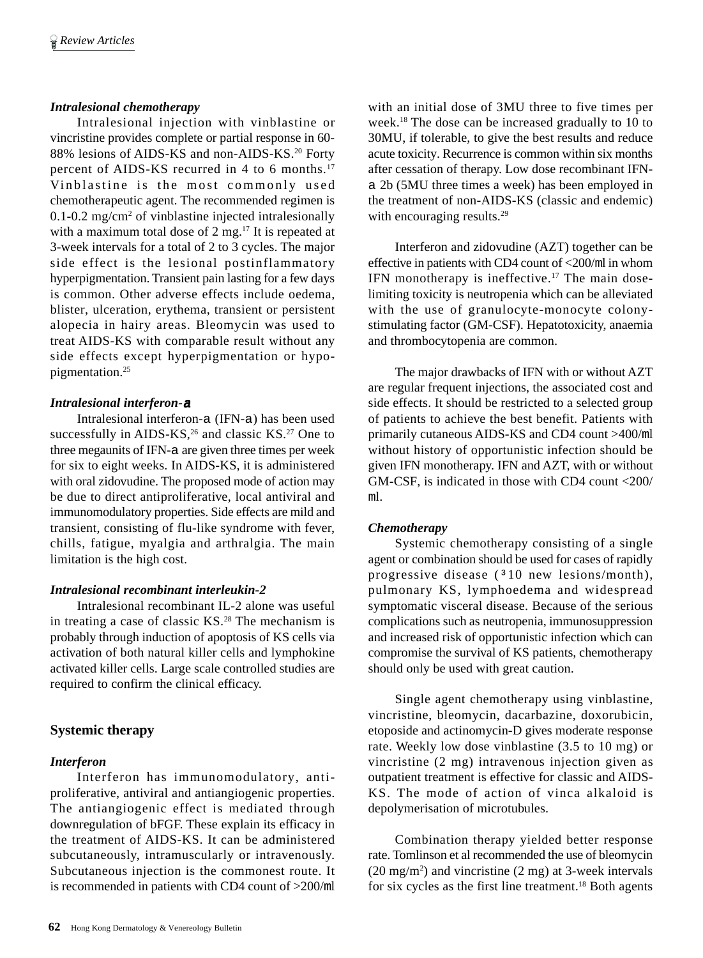#### *Intralesional chemotherapy*

Intralesional injection with vinblastine or vincristine provides complete or partial response in 60- 88% lesions of AIDS-KS and non-AIDS-KS.<sup>20</sup> Forty percent of AIDS-KS recurred in 4 to 6 months.<sup>17</sup> Vinblastine is the most commonly used chemotherapeutic agent. The recommended regimen is 0.1-0.2 mg/cm<sup>2</sup> of vinblastine injected intralesionally with a maximum total dose of  $2 \text{ mg}$ .<sup>17</sup> It is repeated at 3-week intervals for a total of 2 to 3 cycles. The major side effect is the lesional postinflammatory hyperpigmentation. Transient pain lasting for a few days is common. Other adverse effects include oedema, blister, ulceration, erythema, transient or persistent alopecia in hairy areas. Bleomycin was used to treat AIDS-KS with comparable result without any side effects except hyperpigmentation or hypopigmentation.25

#### *Intralesional interferon-*<sup>a</sup>

Intralesional interferon-a (IFN-a) has been used successfully in AIDS-KS,<sup>26</sup> and classic KS.<sup>27</sup> One to three megaunits of IFN-a are given three times per week for six to eight weeks. In AIDS-KS, it is administered with oral zidovudine. The proposed mode of action may be due to direct antiproliferative, local antiviral and immunomodulatory properties. Side effects are mild and transient, consisting of flu-like syndrome with fever, chills, fatigue, myalgia and arthralgia. The main limitation is the high cost.

#### *Intralesional recombinant interleukin-2*

Intralesional recombinant IL-2 alone was useful in treating a case of classic KS.28 The mechanism is probably through induction of apoptosis of KS cells via activation of both natural killer cells and lymphokine activated killer cells. Large scale controlled studies are required to confirm the clinical efficacy.

#### **Systemic therapy**

#### *Interferon*

Interferon has immunomodulatory, antiproliferative, antiviral and antiangiogenic properties. The antiangiogenic effect is mediated through downregulation of bFGF. These explain its efficacy in the treatment of AIDS-KS. It can be administered subcutaneously, intramuscularly or intravenously. Subcutaneous injection is the commonest route. It is recommended in patients with CD4 count of >200/ml

with an initial dose of 3MU three to five times per week.18 The dose can be increased gradually to 10 to 30MU, if tolerable, to give the best results and reduce acute toxicity. Recurrence is common within six months after cessation of therapy. Low dose recombinant IFNa 2b (5MU three times a week) has been employed in the treatment of non-AIDS-KS (classic and endemic) with encouraging results.<sup>29</sup>

Interferon and zidovudine (AZT) together can be effective in patients with CD4 count of <200/ml in whom IFN monotherapy is ineffective.<sup>17</sup> The main doselimiting toxicity is neutropenia which can be alleviated with the use of granulocyte-monocyte colonystimulating factor (GM-CSF). Hepatotoxicity, anaemia and thrombocytopenia are common.

The major drawbacks of IFN with or without AZT are regular frequent injections, the associated cost and side effects. It should be restricted to a selected group of patients to achieve the best benefit. Patients with primarily cutaneous AIDS-KS and CD4 count >400/ml without history of opportunistic infection should be given IFN monotherapy. IFN and AZT, with or without GM-CSF, is indicated in those with CD4 count <200/ ml.

#### *Chemotherapy*

Systemic chemotherapy consisting of a single agent or combination should be used for cases of rapidly progressive disease (310 new lesions/month), pulmonary KS, lymphoedema and widespread symptomatic visceral disease. Because of the serious complications such as neutropenia, immunosuppression and increased risk of opportunistic infection which can compromise the survival of KS patients, chemotherapy should only be used with great caution.

Single agent chemotherapy using vinblastine, vincristine, bleomycin, dacarbazine, doxorubicin, etoposide and actinomycin-D gives moderate response rate. Weekly low dose vinblastine (3.5 to 10 mg) or vincristine (2 mg) intravenous injection given as outpatient treatment is effective for classic and AIDS-KS. The mode of action of vinca alkaloid is depolymerisation of microtubules.

Combination therapy yielded better response rate. Tomlinson et al recommended the use of bleomycin  $(20 \text{ mg/m}^2)$  and vincristine  $(2 \text{ mg})$  at 3-week intervals for six cycles as the first line treatment.18 Both agents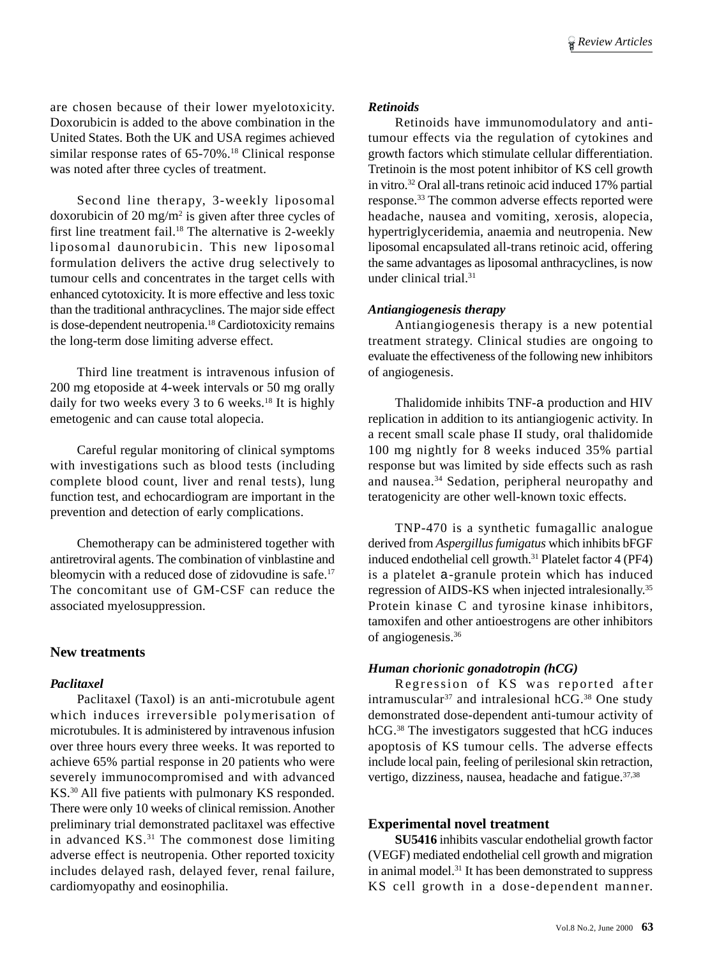are chosen because of their lower myelotoxicity. Doxorubicin is added to the above combination in the United States. Both the UK and USA regimes achieved similar response rates of 65-70%.<sup>18</sup> Clinical response was noted after three cycles of treatment.

Second line therapy, 3-weekly liposomal doxorubicin of 20 mg/m2 is given after three cycles of first line treatment fail.18 The alternative is 2-weekly liposomal daunorubicin. This new liposomal formulation delivers the active drug selectively to tumour cells and concentrates in the target cells with enhanced cytotoxicity. It is more effective and less toxic than the traditional anthracyclines. The major side effect is dose-dependent neutropenia.18 Cardiotoxicity remains the long-term dose limiting adverse effect.

Third line treatment is intravenous infusion of 200 mg etoposide at 4-week intervals or 50 mg orally daily for two weeks every 3 to 6 weeks.<sup>18</sup> It is highly emetogenic and can cause total alopecia.

Careful regular monitoring of clinical symptoms with investigations such as blood tests (including complete blood count, liver and renal tests), lung function test, and echocardiogram are important in the prevention and detection of early complications.

Chemotherapy can be administered together with antiretroviral agents. The combination of vinblastine and bleomycin with a reduced dose of zidovudine is safe.<sup>17</sup> The concomitant use of GM-CSF can reduce the associated myelosuppression.

# **New treatments**

#### *Paclitaxel*

Paclitaxel (Taxol) is an anti-microtubule agent which induces irreversible polymerisation of microtubules. It is administered by intravenous infusion over three hours every three weeks. It was reported to achieve 65% partial response in 20 patients who were severely immunocompromised and with advanced KS.30 All five patients with pulmonary KS responded. There were only 10 weeks of clinical remission. Another preliminary trial demonstrated paclitaxel was effective in advanced  $KS$ .<sup>31</sup> The commonest dose limiting adverse effect is neutropenia. Other reported toxicity includes delayed rash, delayed fever, renal failure, cardiomyopathy and eosinophilia.

## *Retinoids*

Retinoids have immunomodulatory and antitumour effects via the regulation of cytokines and growth factors which stimulate cellular differentiation. Tretinoin is the most potent inhibitor of KS cell growth in vitro.32 Oral all-trans retinoic acid induced 17% partial response.33 The common adverse effects reported were headache, nausea and vomiting, xerosis, alopecia, hypertriglyceridemia, anaemia and neutropenia. New liposomal encapsulated all-trans retinoic acid, offering the same advantages as liposomal anthracyclines, is now under clinical trial.31

## *Antiangiogenesis therapy*

Antiangiogenesis therapy is a new potential treatment strategy. Clinical studies are ongoing to evaluate the effectiveness of the following new inhibitors of angiogenesis.

Thalidomide inhibits TNF-a production and HIV replication in addition to its antiangiogenic activity. In a recent small scale phase II study, oral thalidomide 100 mg nightly for 8 weeks induced 35% partial response but was limited by side effects such as rash and nausea.34 Sedation, peripheral neuropathy and teratogenicity are other well-known toxic effects.

TNP-470 is a synthetic fumagallic analogue derived from *Aspergillus fumigatus* which inhibits bFGF induced endothelial cell growth.<sup>31</sup> Platelet factor 4 (PF4) is a platelet a-granule protein which has induced regression of AIDS-KS when injected intralesionally.35 Protein kinase C and tyrosine kinase inhibitors, tamoxifen and other antioestrogens are other inhibitors of angiogenesis.36

# *Human chorionic gonadotropin (hCG)*

Regression of KS was reported after intramuscular<sup>37</sup> and intralesional h $\overrightarrow{CG}$ .<sup>38</sup> One study demonstrated dose-dependent anti-tumour activity of hCG.<sup>38</sup> The investigators suggested that hCG induces apoptosis of KS tumour cells. The adverse effects include local pain, feeling of perilesional skin retraction, vertigo, dizziness, nausea, headache and fatigue.<sup>37,38</sup>

# **Experimental novel treatment**

**SU5416** inhibits vascular endothelial growth factor (VEGF) mediated endothelial cell growth and migration in animal model.31 It has been demonstrated to suppress KS cell growth in a dose-dependent manner.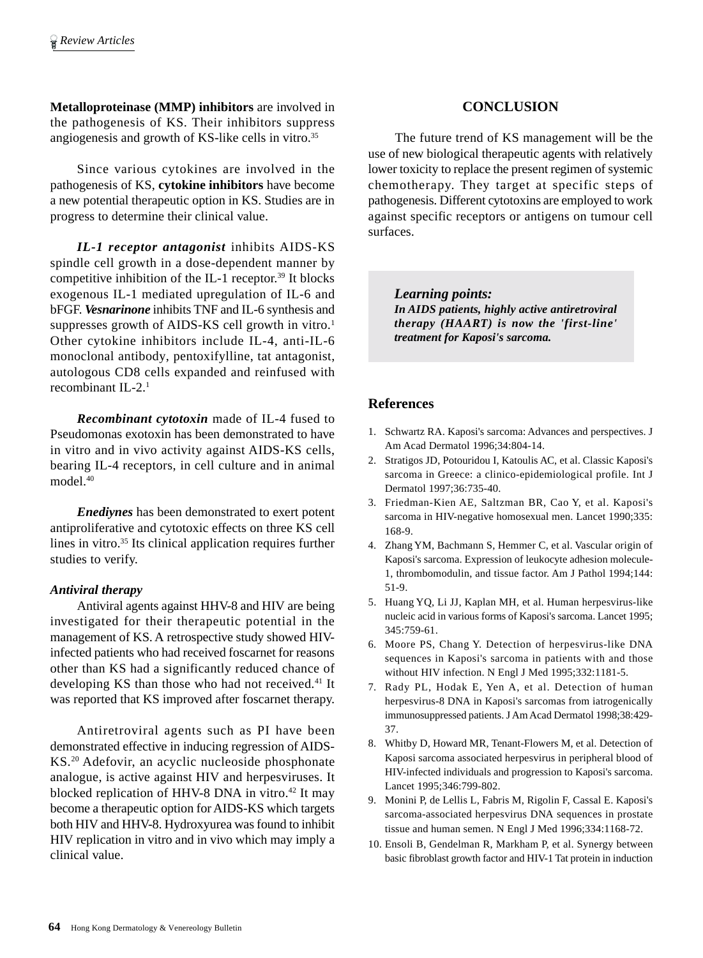**Metalloproteinase (MMP) inhibitors** are involved in the pathogenesis of KS. Their inhibitors suppress angiogenesis and growth of KS-like cells in vitro.<sup>35</sup>

Since various cytokines are involved in the pathogenesis of KS, **cytokine inhibitors** have become a new potential therapeutic option in KS. Studies are in progress to determine their clinical value.

*IL-1 receptor antagonist* inhibits AIDS-KS spindle cell growth in a dose-dependent manner by competitive inhibition of the IL-1 receptor.39 It blocks exogenous IL-1 mediated upregulation of IL-6 and bFGF. *Vesnarinone* inhibits TNF and IL-6 synthesis and suppresses growth of AIDS-KS cell growth in vitro.<sup>1</sup> Other cytokine inhibitors include IL-4, anti-IL-6 monoclonal antibody, pentoxifylline, tat antagonist, autologous CD8 cells expanded and reinfused with recombinant IL-2.1

*Recombinant cytotoxin* made of IL-4 fused to Pseudomonas exotoxin has been demonstrated to have in vitro and in vivo activity against AIDS-KS cells, bearing IL-4 receptors, in cell culture and in animal model.40

*Enediynes* has been demonstrated to exert potent antiproliferative and cytotoxic effects on three KS cell lines in vitro.35 Its clinical application requires further studies to verify.

# *Antiviral therapy*

Antiviral agents against HHV-8 and HIV are being investigated for their therapeutic potential in the management of KS. A retrospective study showed HIVinfected patients who had received foscarnet for reasons other than KS had a significantly reduced chance of developing KS than those who had not received.<sup>41</sup> It was reported that KS improved after foscarnet therapy.

Antiretroviral agents such as PI have been demonstrated effective in inducing regression of AIDS-KS.20 Adefovir, an acyclic nucleoside phosphonate analogue, is active against HIV and herpesviruses. It blocked replication of HHV-8 DNA in vitro. $42$  It may become a therapeutic option for AIDS-KS which targets both HIV and HHV-8. Hydroxyurea was found to inhibit HIV replication in vitro and in vivo which may imply a clinical value.

# **CONCLUSION**

The future trend of KS management will be the use of new biological therapeutic agents with relatively lower toxicity to replace the present regimen of systemic chemotherapy. They target at specific steps of pathogenesis. Different cytotoxins are employed to work against specific receptors or antigens on tumour cell surfaces.

*Learning points: In AIDS patients, highly active antiretroviral therapy (HAART) is now the 'first-line' treatment for Kaposi's sarcoma.*

# **References**

- 1. Schwartz RA. Kaposi's sarcoma: Advances and perspectives. J Am Acad Dermatol 1996;34:804-14.
- 2. Stratigos JD, Potouridou I, Katoulis AC, et al. Classic Kaposi's sarcoma in Greece: a clinico-epidemiological profile. Int J Dermatol 1997;36:735-40.
- 3. Friedman-Kien AE, Saltzman BR, Cao Y, et al. Kaposi's sarcoma in HIV-negative homosexual men. Lancet 1990;335: 168-9.
- 4. Zhang YM, Bachmann S, Hemmer C, et al. Vascular origin of Kaposi's sarcoma. Expression of leukocyte adhesion molecule-1, thrombomodulin, and tissue factor. Am J Pathol 1994;144: 51-9.
- 5. Huang YQ, Li JJ, Kaplan MH, et al. Human herpesvirus-like nucleic acid in various forms of Kaposi's sarcoma. Lancet 1995; 345:759-61.
- 6. Moore PS, Chang Y. Detection of herpesvirus-like DNA sequences in Kaposi's sarcoma in patients with and those without HIV infection. N Engl J Med 1995;332:1181-5.
- 7. Rady PL, Hodak E, Yen A, et al. Detection of human herpesvirus-8 DNA in Kaposi's sarcomas from iatrogenically immunosuppressed patients. J Am Acad Dermatol 1998;38:429- 37.
- 8. Whitby D, Howard MR, Tenant-Flowers M, et al. Detection of Kaposi sarcoma associated herpesvirus in peripheral blood of HIV-infected individuals and progression to Kaposi's sarcoma. Lancet 1995;346:799-802.
- 9. Monini P, de Lellis L, Fabris M, Rigolin F, Cassal E. Kaposi's sarcoma-associated herpesvirus DNA sequences in prostate tissue and human semen. N Engl J Med 1996;334:1168-72.
- 10. Ensoli B, Gendelman R, Markham P, et al. Synergy between basic fibroblast growth factor and HIV-1 Tat protein in induction